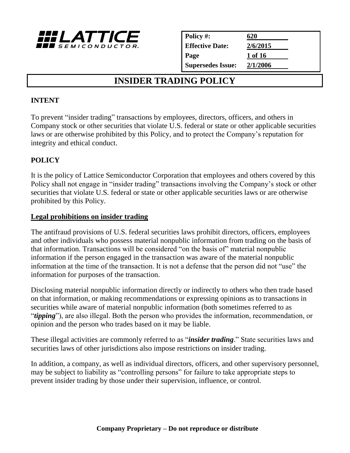

| Policy #:                | 620      |  |
|--------------------------|----------|--|
| <b>Effective Date:</b>   | 2/6/2015 |  |
| Page                     | 1 of 16  |  |
| <b>Supersedes Issue:</b> | 2/1/2006 |  |

# **INSIDER TRADING POLICY**

#### **INTENT**

To prevent "insider trading" transactions by employees, directors, officers, and others in Company stock or other securities that violate U.S. federal or state or other applicable securities laws or are otherwise prohibited by this Policy, and to protect the Company's reputation for integrity and ethical conduct.

# **POLICY**

It is the policy of Lattice Semiconductor Corporation that employees and others covered by this Policy shall not engage in "insider trading" transactions involving the Company's stock or other securities that violate U.S. federal or state or other applicable securities laws or are otherwise prohibited by this Policy.

#### **Legal prohibitions on insider trading**

The antifraud provisions of U.S. federal securities laws prohibit directors, officers, employees and other individuals who possess material nonpublic information from trading on the basis of that information. Transactions will be considered "on the basis of" material nonpublic information if the person engaged in the transaction was aware of the material nonpublic information at the time of the transaction. It is not a defense that the person did not "use" the information for purposes of the transaction.

Disclosing material nonpublic information directly or indirectly to others who then trade based on that information, or making recommendations or expressing opinions as to transactions in securities while aware of material nonpublic information (both sometimes referred to as "*tipping*"), are also illegal. Both the person who provides the information, recommendation, or opinion and the person who trades based on it may be liable.

These illegal activities are commonly referred to as "*insider trading*." State securities laws and securities laws of other jurisdictions also impose restrictions on insider trading.

In addition, a company, as well as individual directors, officers, and other supervisory personnel, may be subject to liability as "controlling persons" for failure to take appropriate steps to prevent insider trading by those under their supervision, influence, or control.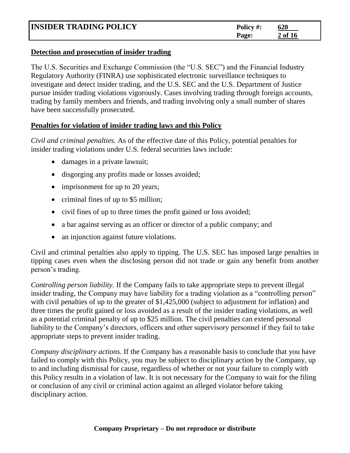| <b>INSIDER TRADING POLICY</b> | Policy #: | 620     |
|-------------------------------|-----------|---------|
|                               | Page:     | 2 of 16 |

#### **Detection and prosecution of insider trading**

The U.S. Securities and Exchange Commission (the "U.S. SEC") and the Financial Industry Regulatory Authority (FINRA) use sophisticated electronic surveillance techniques to investigate and detect insider trading, and the U.S. SEC and the U.S. Department of Justice pursue insider trading violations vigorously. Cases involving trading through foreign accounts, trading by family members and friends, and trading involving only a small number of shares have been successfully prosecuted.

#### **Penalties for violation of insider trading laws and this Policy**

*Civil and criminal penalties.* As of the effective date of this Policy, potential penalties for insider trading violations under U.S. federal securities laws include:

- damages in a private lawsuit;
- disgorging any profits made or losses avoided;
- imprisonment for up to 20 years;
- criminal fines of up to \$5 million;
- civil fines of up to three times the profit gained or loss avoided;
- a bar against serving as an officer or director of a public company; and
- an injunction against future violations.

Civil and criminal penalties also apply to tipping. The U.S. SEC has imposed large penalties in tipping cases even when the disclosing person did not trade or gain any benefit from another person's trading.

*Controlling person liability.* If the Company fails to take appropriate steps to prevent illegal insider trading, the Company may have liability for a trading violation as a "controlling person" with civil penalties of up to the greater of \$1,425,000 (subject to adjustment for inflation) and three times the profit gained or loss avoided as a result of the insider trading violations, as well as a potential criminal penalty of up to \$25 million. The civil penalties can extend personal liability to the Company's directors, officers and other supervisory personnel if they fail to take appropriate steps to prevent insider trading.

*Company disciplinary actions.* If the Company has a reasonable basis to conclude that you have failed to comply with this Policy, you may be subject to disciplinary action by the Company, up to and including dismissal for cause, regardless of whether or not your failure to comply with this Policy results in a violation of law. It is not necessary for the Company to wait for the filing or conclusion of any civil or criminal action against an alleged violator before taking disciplinary action.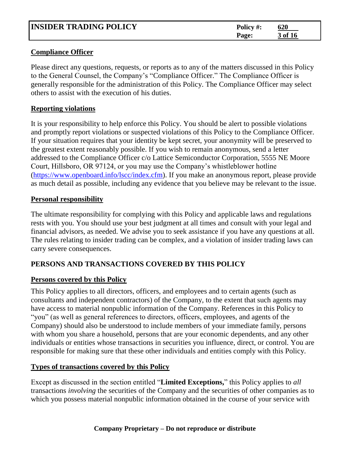| <b>INSIDER TRADING POLICY</b> | Policy #:<br>Page: | 620<br>3 of 16 |  |
|-------------------------------|--------------------|----------------|--|
|                               |                    |                |  |

#### **Compliance Officer**

Please direct any questions, requests, or reports as to any of the matters discussed in this Policy to the General Counsel, the Company's "Compliance Officer." The Compliance Officer is generally responsible for the administration of this Policy. The Compliance Officer may select others to assist with the execution of his duties.

#### **Reporting violations**

It is your responsibility to help enforce this Policy. You should be alert to possible violations and promptly report violations or suspected violations of this Policy to the Compliance Officer. If your situation requires that your identity be kept secret, your anonymity will be preserved to the greatest extent reasonably possible. If you wish to remain anonymous, send a letter addressed to the Compliance Officer c/o Lattice Semiconductor Corporation, 5555 NE Moore Court, Hillsboro, OR 97124, or you may use the Company's whistleblower hotline [\(https://www.openboard.info/lscc/index.cfm\)](https://www.openboard.info/lscc/index.cfm). If you make an anonymous report, please provide as much detail as possible, including any evidence that you believe may be relevant to the issue.

#### **Personal responsibility**

The ultimate responsibility for complying with this Policy and applicable laws and regulations rests with you. You should use your best judgment at all times and consult with your legal and financial advisors, as needed. We advise you to seek assistance if you have any questions at all. The rules relating to insider trading can be complex, and a violation of insider trading laws can carry severe consequences.

# **PERSONS AND TRANSACTIONS COVERED BY THIS POLICY**

# **Persons covered by this Policy**

This Policy applies to all directors, officers, and employees and to certain agents (such as consultants and independent contractors) of the Company, to the extent that such agents may have access to material nonpublic information of the Company. References in this Policy to "you" (as well as general references to directors, officers, employees, and agents of the Company) should also be understood to include members of your immediate family, persons with whom you share a household, persons that are your economic dependents, and any other individuals or entities whose transactions in securities you influence, direct, or control. You are responsible for making sure that these other individuals and entities comply with this Policy.

# **Types of transactions covered by this Policy**

Except as discussed in the section entitled "**Limited Exceptions,**" this Policy applies to *all* transactions *involving* the securities of the Company and the securities of other companies as to which you possess material nonpublic information obtained in the course of your service with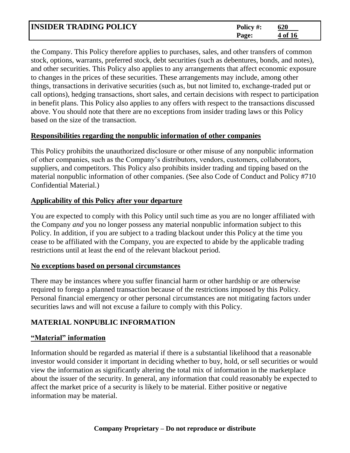| <b>INSIDER TRADING POLICY</b> | Policy #: | 620     |
|-------------------------------|-----------|---------|
|                               | Page:     | 4 of 16 |

the Company. This Policy therefore applies to purchases, sales, and other transfers of common stock, options, warrants, preferred stock, debt securities (such as debentures, bonds, and notes), and other securities. This Policy also applies to any arrangements that affect economic exposure to changes in the prices of these securities. These arrangements may include, among other things, transactions in derivative securities (such as, but not limited to, exchange-traded put or call options), hedging transactions, short sales, and certain decisions with respect to participation in benefit plans. This Policy also applies to any offers with respect to the transactions discussed above. You should note that there are no exceptions from insider trading laws or this Policy based on the size of the transaction.

#### **Responsibilities regarding the nonpublic information of other companies**

This Policy prohibits the unauthorized disclosure or other misuse of any nonpublic information of other companies, such as the Company's distributors, vendors, customers, collaborators, suppliers, and competitors. This Policy also prohibits insider trading and tipping based on the material nonpublic information of other companies. (See also Code of Conduct and Policy #710 Confidential Material.)

# **Applicability of this Policy after your departure**

You are expected to comply with this Policy until such time as you are no longer affiliated with the Company *and* you no longer possess any material nonpublic information subject to this Policy. In addition, if you are subject to a trading blackout under this Policy at the time you cease to be affiliated with the Company, you are expected to abide by the applicable trading restrictions until at least the end of the relevant blackout period.

#### **No exceptions based on personal circumstances**

There may be instances where you suffer financial harm or other hardship or are otherwise required to forego a planned transaction because of the restrictions imposed by this Policy. Personal financial emergency or other personal circumstances are not mitigating factors under securities laws and will not excuse a failure to comply with this Policy.

# **MATERIAL NONPUBLIC INFORMATION**

# **"Material" information**

Information should be regarded as material if there is a substantial likelihood that a reasonable investor would consider it important in deciding whether to buy, hold, or sell securities or would view the information as significantly altering the total mix of information in the marketplace about the issuer of the security. In general, any information that could reasonably be expected to affect the market price of a security is likely to be material. Either positive or negative information may be material.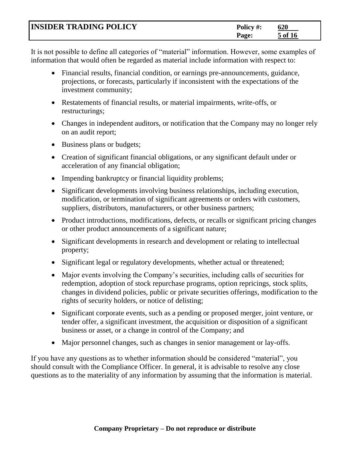| <b>INSIDER TRADING POLICY</b> | Policy #:    | 620     |
|-------------------------------|--------------|---------|
|                               | <b>Page:</b> | 5 of 16 |

It is not possible to define all categories of "material" information. However, some examples of information that would often be regarded as material include information with respect to:

- Financial results, financial condition, or earnings pre-announcements, guidance, projections, or forecasts, particularly if inconsistent with the expectations of the investment community;
- Restatements of financial results, or material impairments, write-offs, or restructurings;
- Changes in independent auditors, or notification that the Company may no longer rely on an audit report;
- Business plans or budgets;
- Creation of significant financial obligations, or any significant default under or acceleration of any financial obligation;
- Impending bankruptcy or financial liquidity problems;
- Significant developments involving business relationships, including execution, modification, or termination of significant agreements or orders with customers, suppliers, distributors, manufacturers, or other business partners;
- Product introductions, modifications, defects, or recalls or significant pricing changes or other product announcements of a significant nature;
- Significant developments in research and development or relating to intellectual property;
- Significant legal or regulatory developments, whether actual or threatened;
- Major events involving the Company's securities, including calls of securities for redemption, adoption of stock repurchase programs, option repricings, stock splits, changes in dividend policies, public or private securities offerings, modification to the rights of security holders, or notice of delisting;
- Significant corporate events, such as a pending or proposed merger, joint venture, or tender offer, a significant investment, the acquisition or disposition of a significant business or asset, or a change in control of the Company; and
- Major personnel changes, such as changes in senior management or lay-offs.

If you have any questions as to whether information should be considered "material", you should consult with the Compliance Officer. In general, it is advisable to resolve any close questions as to the materiality of any information by assuming that the information is material.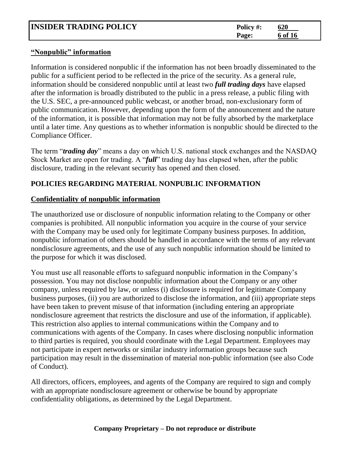| <b>INSIDER TRADING POLICY</b> | Policy #: | 620     |
|-------------------------------|-----------|---------|
|                               | Page:     | 6 of 16 |

#### **"Nonpublic" information**

Information is considered nonpublic if the information has not been broadly disseminated to the public for a sufficient period to be reflected in the price of the security. As a general rule, information should be considered nonpublic until at least two *full trading days* have elapsed after the information is broadly distributed to the public in a press release, a public filing with the U.S. SEC, a pre-announced public webcast, or another broad, non-exclusionary form of public communication. However, depending upon the form of the announcement and the nature of the information, it is possible that information may not be fully absorbed by the marketplace until a later time. Any questions as to whether information is nonpublic should be directed to the Compliance Officer.

The term "*trading day*" means a day on which U.S. national stock exchanges and the NASDAQ Stock Market are open for trading. A "*full*" trading day has elapsed when, after the public disclosure, trading in the relevant security has opened and then closed.

# **POLICIES REGARDING MATERIAL NONPUBLIC INFORMATION**

# **Confidentiality of nonpublic information**

The unauthorized use or disclosure of nonpublic information relating to the Company or other companies is prohibited. All nonpublic information you acquire in the course of your service with the Company may be used only for legitimate Company business purposes. In addition, nonpublic information of others should be handled in accordance with the terms of any relevant nondisclosure agreements, and the use of any such nonpublic information should be limited to the purpose for which it was disclosed.

You must use all reasonable efforts to safeguard nonpublic information in the Company's possession. You may not disclose nonpublic information about the Company or any other company, unless required by law, or unless (i) disclosure is required for legitimate Company business purposes, (ii) you are authorized to disclose the information, and (iii) appropriate steps have been taken to prevent misuse of that information (including entering an appropriate nondisclosure agreement that restricts the disclosure and use of the information, if applicable). This restriction also applies to internal communications within the Company and to communications with agents of the Company. In cases where disclosing nonpublic information to third parties is required, you should coordinate with the Legal Department. Employees may not participate in expert networks or similar industry information groups because such participation may result in the dissemination of material non-public information (see also Code of Conduct).

All directors, officers, employees, and agents of the Company are required to sign and comply with an appropriate nondisclosure agreement or otherwise be bound by appropriate confidentiality obligations, as determined by the Legal Department.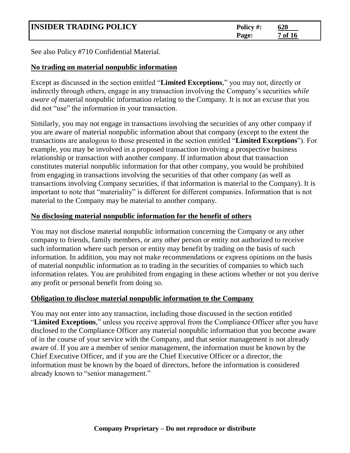| <b>INSIDER TRADING POLICY</b> | Policy #: | 620     |  |
|-------------------------------|-----------|---------|--|
|                               | Page:     | 7 of 16 |  |

See also Policy #710 Confidential Material.

# **No trading on material nonpublic information**

Except as discussed in the section entitled "**Limited Exceptions**," you may not, directly or indirectly through others, engage in any transaction involving the Company's securities *while aware of* material nonpublic information relating to the Company. It is not an excuse that you did not "use" the information in your transaction.

Similarly, you may not engage in transactions involving the securities of any other company if you are aware of material nonpublic information about that company (except to the extent the transactions are analogous to those presented in the section entitled "**Limited Exceptions**"). For example, you may be involved in a proposed transaction involving a prospective business relationship or transaction with another company. If information about that transaction constitutes material nonpublic information for that other company, you would be prohibited from engaging in transactions involving the securities of that other company (as well as transactions involving Company securities, if that information is material to the Company). It is important to note that "materiality" is different for different companies. Information that is not material to the Company may be material to another company.

# **No disclosing material nonpublic information for the benefit of others**

You may not disclose material nonpublic information concerning the Company or any other company to friends, family members, or any other person or entity not authorized to receive such information where such person or entity may benefit by trading on the basis of such information. In addition, you may not make recommendations or express opinions on the basis of material nonpublic information as to trading in the securities of companies to which such information relates. You are prohibited from engaging in these actions whether or not you derive any profit or personal benefit from doing so.

# **Obligation to disclose material nonpublic information to the Company**

You may not enter into any transaction, including those discussed in the section entitled "**Limited Exceptions**," unless you receive approval from the Compliance Officer after you have disclosed to the Compliance Officer any material nonpublic information that you become aware of in the course of your service with the Company, and that senior management is not already aware of. If you are a member of senior management, the information must be known by the Chief Executive Officer, and if you are the Chief Executive Officer or a director, the information must be known by the board of directors, before the information is considered already known to "senior management."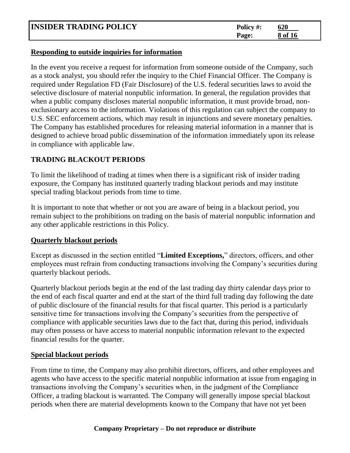| <b>INSIDER TRADING POLICY</b> | Policy #: | 620     |
|-------------------------------|-----------|---------|
|                               | Page:     | 8 of 16 |

#### **Responding to outside inquiries for information**

In the event you receive a request for information from someone outside of the Company, such as a stock analyst, you should refer the inquiry to the Chief Financial Officer. The Company is required under Regulation FD (Fair Disclosure) of the U.S. federal securities laws to avoid the selective disclosure of material nonpublic information. In general, the regulation provides that when a public company discloses material nonpublic information, it must provide broad, nonexclusionary access to the information. Violations of this regulation can subject the company to U.S. SEC enforcement actions, which may result in injunctions and severe monetary penalties. The Company has established procedures for releasing material information in a manner that is designed to achieve broad public dissemination of the information immediately upon its release in compliance with applicable law.

# **TRADING BLACKOUT PERIODS**

To limit the likelihood of trading at times when there is a significant risk of insider trading exposure, the Company has instituted quarterly trading blackout periods and may institute special trading blackout periods from time to time.

It is important to note that whether or not you are aware of being in a blackout period, you remain subject to the prohibitions on trading on the basis of material nonpublic information and any other applicable restrictions in this Policy.

# **Quarterly blackout periods**

Except as discussed in the section entitled "**Limited Exceptions,**" directors, officers, and other employees must refrain from conducting transactions involving the Company's securities during quarterly blackout periods.

Quarterly blackout periods begin at the end of the last trading day thirty calendar days prior to the end of each fiscal quarter and end at the start of the third full trading day following the date of public disclosure of the financial results for that fiscal quarter. This period is a particularly sensitive time for transactions involving the Company's securities from the perspective of compliance with applicable securities laws due to the fact that, during this period, individuals may often possess or have access to material nonpublic information relevant to the expected financial results for the quarter.

# **Special blackout periods**

From time to time, the Company may also prohibit directors, officers, and other employees and agents who have access to the specific material nonpublic information at issue from engaging in transactions involving the Company's securities when, in the judgment of the Compliance Officer, a trading blackout is warranted. The Company will generally impose special blackout periods when there are material developments known to the Company that have not yet been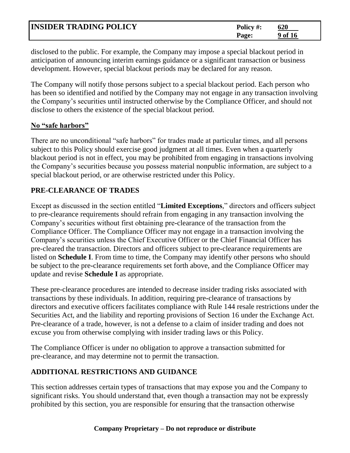| <b>INSIDER TRADING POLICY</b> | Policy #: | 620     |
|-------------------------------|-----------|---------|
|                               | Page:     | 9 of 16 |

disclosed to the public. For example, the Company may impose a special blackout period in anticipation of announcing interim earnings guidance or a significant transaction or business development. However, special blackout periods may be declared for any reason.

The Company will notify those persons subject to a special blackout period. Each person who has been so identified and notified by the Company may not engage in any transaction involving the Company's securities until instructed otherwise by the Compliance Officer, and should not disclose to others the existence of the special blackout period.

#### **No "safe harbors"**

There are no unconditional "safe harbors" for trades made at particular times, and all persons subject to this Policy should exercise good judgment at all times. Even when a quarterly blackout period is not in effect, you may be prohibited from engaging in transactions involving the Company's securities because you possess material nonpublic information, are subject to a special blackout period, or are otherwise restricted under this Policy.

# **PRE-CLEARANCE OF TRADES**

Except as discussed in the section entitled "**Limited Exceptions**," directors and officers subject to pre**-**clearance requirements should refrain from engaging in any transaction involving the Company's securities without first obtaining pre**-**clearance of the transaction from the Compliance Officer. The Compliance Officer may not engage in a transaction involving the Company's securities unless the Chief Executive Officer or the Chief Financial Officer has pre-cleared the transaction. Directors and officers subject to pre**-**clearance requirements are listed on **Schedule I**. From time to time, the Company may identify other persons who should be subject to the pre**-**clearance requirements set forth above, and the Compliance Officer may update and revise **Schedule I** as appropriate.

These pre-clearance procedures are intended to decrease insider trading risks associated with transactions by these individuals. In addition, requiring pre*-*clearance of transactions by directors and executive officers facilitates compliance with Rule 144 resale restrictions under the Securities Act, and the liability and reporting provisions of Section 16 under the Exchange Act. Pre-clearance of a trade, however, is not a defense to a claim of insider trading and does not excuse you from otherwise complying with insider trading laws or this Policy.

The Compliance Officer is under no obligation to approve a transaction submitted for pre-clearance, and may determine not to permit the transaction.

# **ADDITIONAL RESTRICTIONS AND GUIDANCE**

This section addresses certain types of transactions that may expose you and the Company to significant risks. You should understand that, even though a transaction may not be expressly prohibited by this section, you are responsible for ensuring that the transaction otherwise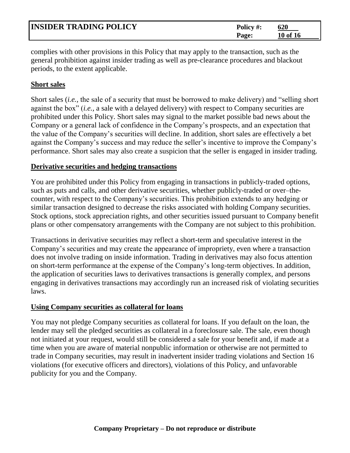| <b>INSIDER TRADING POLICY</b> | Policy #:    | 620      |
|-------------------------------|--------------|----------|
|                               | <b>Page:</b> | 10 of 16 |

complies with other provisions in this Policy that may apply to the transaction, such as the general prohibition against insider trading as well as pre-clearance procedures and blackout periods, to the extent applicable.

# **Short sales**

Short sales (*i.e.,* the sale of a security that must be borrowed to make delivery) and "selling short against the box" (*i.e.,* a sale with a delayed delivery) with respect to Company securities are prohibited under this Policy. Short sales may signal to the market possible bad news about the Company or a general lack of confidence in the Company's prospects, and an expectation that the value of the Company's securities will decline. In addition, short sales are effectively a bet against the Company's success and may reduce the seller's incentive to improve the Company's performance. Short sales may also create a suspicion that the seller is engaged in insider trading.

# **Derivative securities and hedging transactions**

You are prohibited under this Policy from engaging in transactions in publicly-traded options, such as puts and calls, and other derivative securities, whether publicly-traded or over–thecounter, with respect to the Company's securities. This prohibition extends to any hedging or similar transaction designed to decrease the risks associated with holding Company securities. Stock options, stock appreciation rights, and other securities issued pursuant to Company benefit plans or other compensatory arrangements with the Company are not subject to this prohibition.

Transactions in derivative securities may reflect a short*-*term and speculative interest in the Company's securities and may create the appearance of impropriety, even where a transaction does not involve trading on inside information. Trading in derivatives may also focus attention on short-term performance at the expense of the Company's long-term objectives. In addition, the application of securities laws to derivatives transactions is generally complex, and persons engaging in derivatives transactions may accordingly run an increased risk of violating securities laws.

# **Using Company securities as collateral for loans**

You may not pledge Company securities as collateral for loans. If you default on the loan, the lender may sell the pledged securities as collateral in a foreclosure sale. The sale, even though not initiated at your request, would still be considered a sale for your benefit and, if made at a time when you are aware of material nonpublic information or otherwise are not permitted to trade in Company securities, may result in inadvertent insider trading violations and Section 16 violations (for executive officers and directors), violations of this Policy, and unfavorable publicity for you and the Company.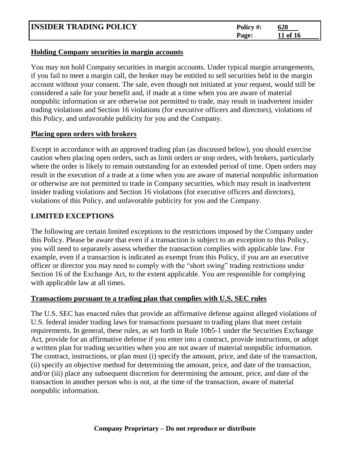| <b>INSIDER TRADING POLICY</b> | Policy #: | 620      |
|-------------------------------|-----------|----------|
|                               | Page:     | 11 of 16 |

#### **Holding Company securities in margin accounts**

You may not hold Company securities in margin accounts. Under typical margin arrangements, if you fail to meet a margin call, the broker may be entitled to sell securities held in the margin account without your consent. The sale, even though not initiated at your request, would still be considered a sale for your benefit and, if made at a time when you are aware of material nonpublic information or are otherwise not permitted to trade, may result in inadvertent insider trading violations and Section 16 violations (for executive officers and directors), violations of this Policy, and unfavorable publicity for you and the Company.

#### **Placing open orders with brokers**

Except in accordance with an approved trading plan (as discussed below), you should exercise caution when placing open orders, such as limit orders or stop orders, with brokers, particularly where the order is likely to remain outstanding for an extended period of time. Open orders may result in the execution of a trade at a time when you are aware of material nonpublic information or otherwise are not permitted to trade in Company securities, which may result in inadvertent insider trading violations and Section 16 violations (for executive officers and directors), violations of this Policy, and unfavorable publicity for you and the Company.

# **LIMITED EXCEPTIONS**

The following are certain limited exceptions to the restrictions imposed by the Company under this Policy. Please be aware that even if a transaction is subject to an exception to this Policy, you will need to separately assess whether the transaction complies with applicable law. For example, even if a transaction is indicated as exempt from this Policy, if you are an executive officer or director you may need to comply with the "short swing" trading restrictions under Section 16 of the Exchange Act, to the extent applicable. You are responsible for complying with applicable law at all times.

# **Transactions pursuant to a trading plan that complies with U.S. SEC rules**

The U.S. SEC has enacted rules that provide an affirmative defense against alleged violations of U.S. federal insider trading laws for transactions pursuant to trading plans that meet certain requirements. In general, these rules, as set forth in Rule 10b5-1 under the Securities Exchange Act, provide for an affirmative defense if you enter into a contract, provide instructions, or adopt a written plan for trading securities when you are not aware of material nonpublic information. The contract, instructions, or plan must (i) specify the amount, price, and date of the transaction, (ii) specify an objective method for determining the amount, price, and date of the transaction, and/or (iii) place any subsequent discretion for determining the amount, price, and date of the transaction in another person who is not, at the time of the transaction, aware of material nonpublic information.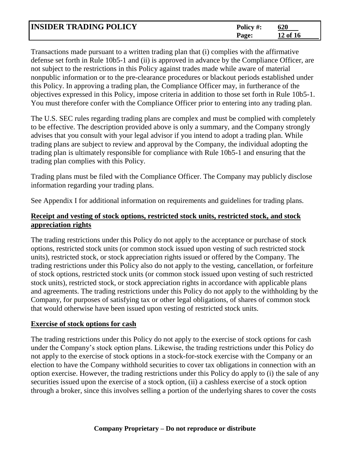| <b>INSIDER TRADING POLICY</b> | Policy #: | 620      |
|-------------------------------|-----------|----------|
|                               | Page:     | 12 of 16 |

Transactions made pursuant to a written trading plan that (i) complies with the affirmative defense set forth in Rule 10b5-1 and (ii) is approved in advance by the Compliance Officer, are not subject to the restrictions in this Policy against trades made while aware of material nonpublic information or to the pre-clearance procedures or blackout periods established under this Policy. In approving a trading plan, the Compliance Officer may, in furtherance of the objectives expressed in this Policy, impose criteria in addition to those set forth in Rule 10b5-1. You must therefore confer with the Compliance Officer prior to entering into any trading plan.

The U.S. SEC rules regarding trading plans are complex and must be complied with completely to be effective. The description provided above is only a summary, and the Company strongly advises that you consult with your legal advisor if you intend to adopt a trading plan. While trading plans are subject to review and approval by the Company, the individual adopting the trading plan is ultimately responsible for compliance with Rule 10b5-1 and ensuring that the trading plan complies with this Policy.

Trading plans must be filed with the Compliance Officer. The Company may publicly disclose information regarding your trading plans.

See Appendix I for additional information on requirements and guidelines for trading plans.

# **Receipt and vesting of stock options, restricted stock units, restricted stock, and stock appreciation rights**

The trading restrictions under this Policy do not apply to the acceptance or purchase of stock options, restricted stock units (or common stock issued upon vesting of such restricted stock units), restricted stock, or stock appreciation rights issued or offered by the Company. The trading restrictions under this Policy also do not apply to the vesting, cancellation, or forfeiture of stock options, restricted stock units (or common stock issued upon vesting of such restricted stock units), restricted stock, or stock appreciation rights in accordance with applicable plans and agreements. The trading restrictions under this Policy do not apply to the withholding by the Company, for purposes of satisfying tax or other legal obligations, of shares of common stock that would otherwise have been issued upon vesting of restricted stock units.

# **Exercise of stock options for cash**

The trading restrictions under this Policy do not apply to the exercise of stock options for cash under the Company's stock option plans. Likewise, the trading restrictions under this Policy do not apply to the exercise of stock options in a stock-for-stock exercise with the Company or an election to have the Company withhold securities to cover tax obligations in connection with an option exercise. However, the trading restrictions under this Policy do apply to (i) the sale of any securities issued upon the exercise of a stock option, (ii) a cashless exercise of a stock option through a broker, since this involves selling a portion of the underlying shares to cover the costs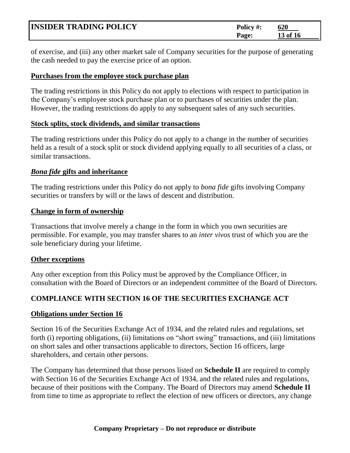| <b>INSIDER TRADING POLICY</b> | Policy #:    | 620      |
|-------------------------------|--------------|----------|
|                               | <b>Page:</b> | 13 of 16 |

of exercise, and (iii) any other market sale of Company securities for the purpose of generating the cash needed to pay the exercise price of an option.

#### **Purchases from the employee stock purchase plan**

The trading restrictions in this Policy do not apply to elections with respect to participation in the Company's employee stock purchase plan or to purchases of securities under the plan. However, the trading restrictions do apply to any subsequent sales of any such securities.

#### **Stock splits, stock dividends, and similar transactions**

The trading restrictions under this Policy do not apply to a change in the number of securities held as a result of a stock split or stock dividend applying equally to all securities of a class, or similar transactions.

#### *Bona fide* **gifts and inheritance**

The trading restrictions under this Policy do not apply to *bona fide* gifts involving Company securities or transfers by will or the laws of descent and distribution.

#### **Change in form of ownership**

Transactions that involve merely a change in the form in which you own securities are permissible. For example, you may transfer shares to an *inter vivos* trust of which you are the sole beneficiary during your lifetime.

# **Other exceptions**

Any other exception from this Policy must be approved by the Compliance Officer, in consultation with the Board of Directors or an independent committee of the Board of Directors.

# **COMPLIANCE WITH SECTION 16 OF THE SECURITIES EXCHANGE ACT**

# **Obligations under Section 16**

Section 16 of the Securities Exchange Act of 1934, and the related rules and regulations, set forth (i) reporting obligations, (ii) limitations on "short swing" transactions, and (iii) limitations on short sales and other transactions applicable to directors, Section 16 officers, large shareholders, and certain other persons.

The Company has determined that those persons listed on **Schedule II** are required to comply with Section 16 of the Securities Exchange Act of 1934, and the related rules and regulations, because of their positions with the Company. The Board of Directors may amend **Schedule II** from time to time as appropriate to reflect the election of new officers or directors, any change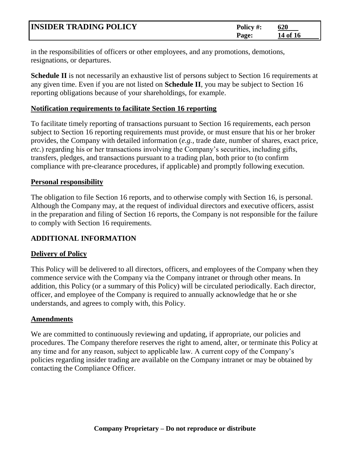| <b>INSIDER TRADING POLICY</b> | Policy #: | 620      |
|-------------------------------|-----------|----------|
|                               | Page:     | 14 of 16 |

in the responsibilities of officers or other employees, and any promotions, demotions, resignations, or departures.

**Schedule II** is not necessarily an exhaustive list of persons subject to Section 16 requirements at any given time. Even if you are not listed on **Schedule II**, you may be subject to Section 16 reporting obligations because of your shareholdings, for example.

# **Notification requirements to facilitate Section 16 reporting**

To facilitate timely reporting of transactions pursuant to Section 16 requirements, each person subject to Section 16 reporting requirements must provide, or must ensure that his or her broker provides, the Company with detailed information (*e.g.,* trade date, number of shares, exact price, *etc.*) regarding his or her transactions involving the Company's securities, including gifts, transfers, pledges, and transactions pursuant to a trading plan, both prior to (to confirm compliance with pre-clearance procedures, if applicable) and promptly following execution.

#### **Personal responsibility**

The obligation to file Section 16 reports, and to otherwise comply with Section 16, is personal. Although the Company may, at the request of individual directors and executive officers, assist in the preparation and filing of Section 16 reports, the Company is not responsible for the failure to comply with Section 16 requirements.

# **ADDITIONAL INFORMATION**

# **Delivery of Policy**

This Policy will be delivered to all directors, officers, and employees of the Company when they commence service with the Company via the Company intranet or through other means. In addition, this Policy (or a summary of this Policy) will be circulated periodically. Each director, officer, and employee of the Company is required to annually acknowledge that he or she understands, and agrees to comply with, this Policy.

# **Amendments**

We are committed to continuously reviewing and updating, if appropriate, our policies and procedures. The Company therefore reserves the right to amend, alter, or terminate this Policy at any time and for any reason, subject to applicable law. A current copy of the Company's policies regarding insider trading are available on the Company intranet or may be obtained by contacting the Compliance Officer.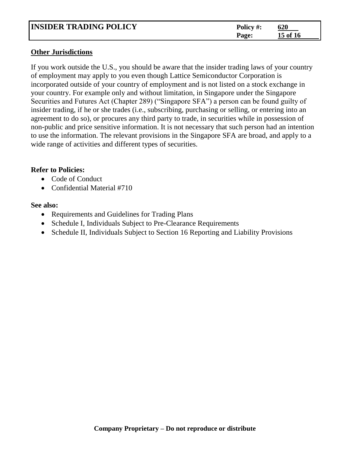| <b>INSIDER TRADING POLICY</b> | Policy #: | 620      |
|-------------------------------|-----------|----------|
|                               | Page.     | 15 of 16 |

#### **Other Jurisdictions**

If you work outside the U.S., you should be aware that the insider trading laws of your country of employment may apply to you even though Lattice Semiconductor Corporation is incorporated outside of your country of employment and is not listed on a stock exchange in your country. For example only and without limitation, in Singapore under the Singapore Securities and Futures Act (Chapter 289) ("Singapore SFA") a person can be found guilty of insider trading, if he or she trades (i.e., subscribing, purchasing or selling, or entering into an agreement to do so), or procures any third party to trade, in securities while in possession of non-public and price sensitive information. It is not necessary that such person had an intention to use the information. The relevant provisions in the Singapore SFA are broad, and apply to a wide range of activities and different types of securities.

# **Refer to Policies:**

- Code of Conduct
- Confidential Material #710

#### **See also:**

- Requirements and Guidelines for Trading Plans
- Schedule I, Individuals Subject to Pre-Clearance Requirements
- Schedule II, Individuals Subject to Section 16 Reporting and Liability Provisions